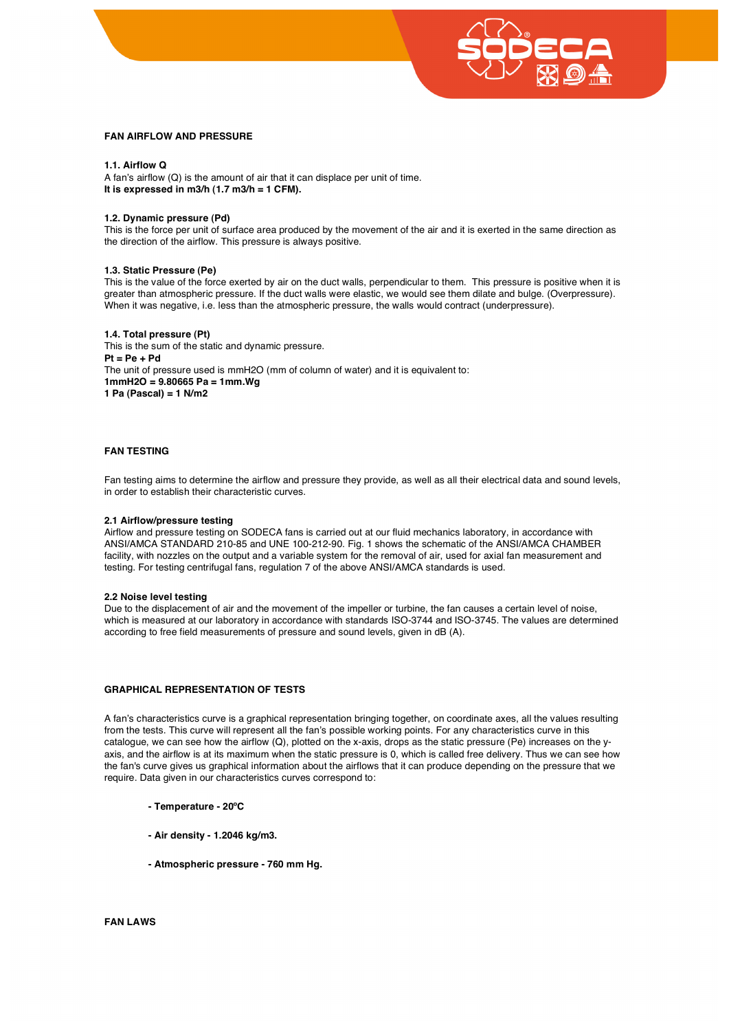

## **FAN AIRFLOW AND PRESSURE**

## **1.1. Airflow Q**

A fan's airflow (Q) is the amount of air that it can displace per unit of time. **It is expressed in m3/h (1.7 m3/h = 1 CFM).** 

## **1.2. Dynamic pressure (Pd)**

This is the force per unit of surface area produced by the movement of the air and it is exerted in the same direction as the direction of the airflow. This pressure is always positive.

## **1.3. Static Pressure (Pe)**

This is the value of the force exerted by air on the duct walls, perpendicular to them. This pressure is positive when it is greater than atmospheric pressure. If the duct walls were elastic, we would see them dilate and bulge. (Overpressure). When it was negative, i.e. less than the atmospheric pressure, the walls would contract (underpressure).

## **1.4. Total pressure (Pt)**

This is the sum of the static and dynamic pressure. **Pt = Pe + Pd** The unit of pressure used is mmH2O (mm of column of water) and it is equivalent to: **1mmH2O = 9.80665 Pa = 1mm.Wg 1 Pa (Pascal) = 1 N/m2** 

# **FAN TESTING**

Fan testing aims to determine the airflow and pressure they provide, as well as all their electrical data and sound levels, in order to establish their characteristic curves.

#### **2.1 Airflow/pressure testing**

Airflow and pressure testing on SODECA fans is carried out at our fluid mechanics laboratory, in accordance with ANSI/AMCA STANDARD 210-85 and UNE 100-212-90. Fig. 1 shows the schematic of the ANSI/AMCA CHAMBER facility, with nozzles on the output and a variable system for the removal of air, used for axial fan measurement and testing. For testing centrifugal fans, regulation 7 of the above ANSI/AMCA standards is used.

#### **2.2 Noise level testing**

Due to the displacement of air and the movement of the impeller or turbine, the fan causes a certain level of noise, which is measured at our laboratory in accordance with standards ISO-3744 and ISO-3745. The values are determined according to free field measurements of pressure and sound levels, given in dB (A).

## **GRAPHICAL REPRESENTATION OF TESTS**

A fan's characteristics curve is a graphical representation bringing together, on coordinate axes, all the values resulting from the tests. This curve will represent all the fan's possible working points. For any characteristics curve in this catalogue, we can see how the airflow (Q), plotted on the x-axis, drops as the static pressure (Pe) increases on the yaxis, and the airflow is at its maximum when the static pressure is 0, which is called free delivery. Thus we can see how the fan's curve gives us graphical information about the airflows that it can produce depending on the pressure that we require. Data given in our characteristics curves correspond to:

#### **- Temperature - 20ºC**

- **Air density 1.2046 kg/m3.**
- **- Atmospheric pressure 760 mm Hg.**

**FAN LAWS**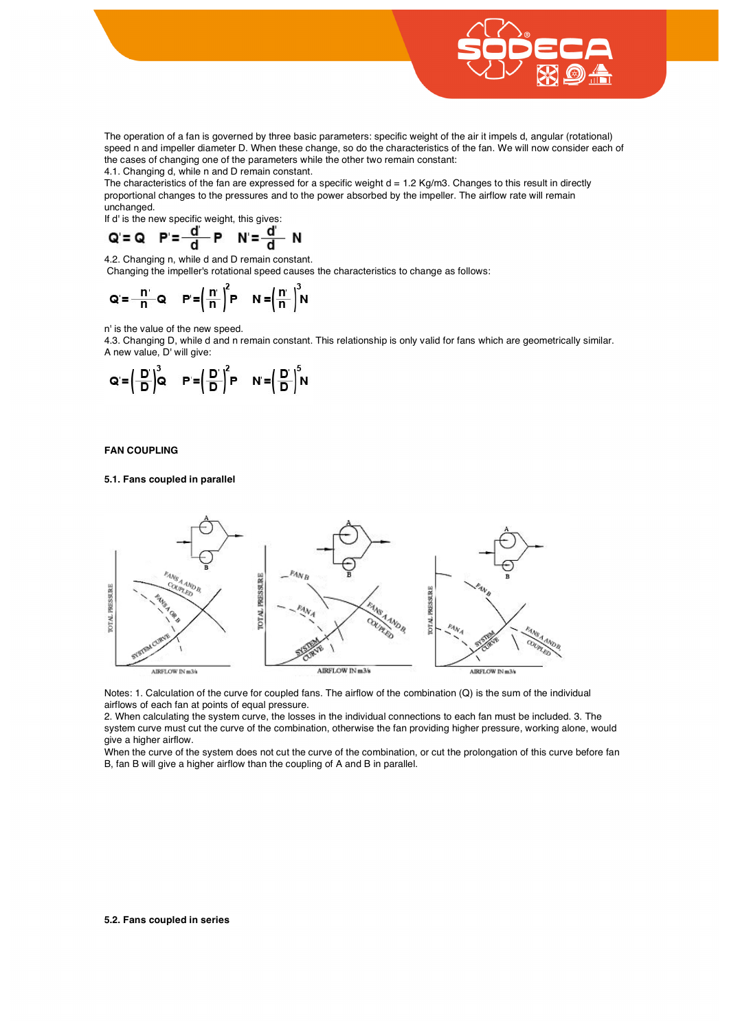

The operation of a fan is governed by three basic parameters: specific weight of the air it impels d, angular (rotational) speed n and impeller diameter D. When these change, so do the characteristics of the fan. We will now consider each of the cases of changing one of the parameters while the other two remain constant:

4.1. Changing d, while n and D remain constant.

The characteristics of the fan are expressed for a specific weight  $d = 1.2$  Kg/m3. Changes to this result in directly proportional changes to the pressures and to the power absorbed by the impeller. The airflow rate will remain unchanged.

If d' is the new specific weight, this gives:

$$
Q = Q \quad P = \frac{d}{d} \quad P \quad N = \frac{d}{d} \quad N
$$

4.2. Changing n, while d and D remain constant. Changing the impeller's rotational speed causes the characteristics to change as follows:

$$
Q = \frac{n}{n} Q \qquad P' = \left(\frac{n}{n}\right)^2 P \qquad N = \left(\frac{n}{n}\right)^3 N
$$

n' is the value of the new speed.

4.3. Changing D, while d and n remain constant. This relationship is only valid for fans which are geometrically similar. A new value, D' will give:

$$
Q = \left(\frac{D}{D}\right)^3 Q \qquad P = \left(\frac{D}{D}\right)^2 P \qquad N = \left(\frac{D}{D}\right)^5 N
$$

**FAN COUPLING** 

## **5.1. Fans coupled in parallel**



Notes: 1. Calculation of the curve for coupled fans. The airflow of the combination (Q) is the sum of the individual airflows of each fan at points of equal pressure.

2. When calculating the system curve, the losses in the individual connections to each fan must be included. 3. The system curve must cut the curve of the combination, otherwise the fan providing higher pressure, working alone, would give a higher airflow.

When the curve of the system does not cut the curve of the combination, or cut the prolongation of this curve before fan B, fan B will give a higher airflow than the coupling of A and B in parallel.